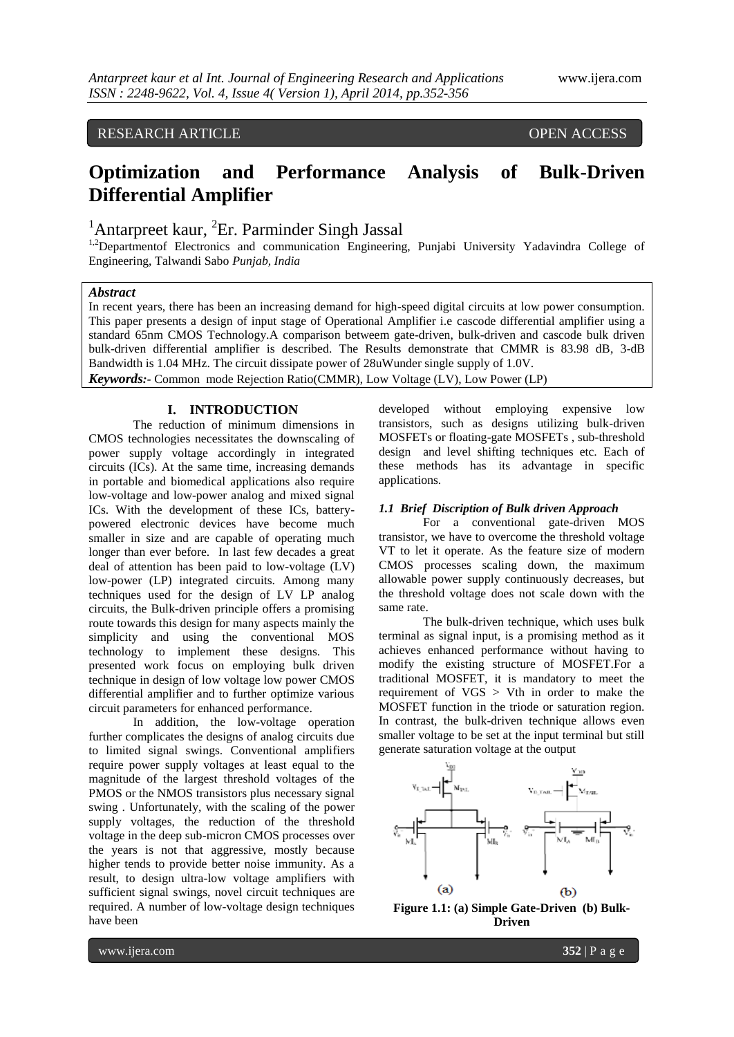# RESEARCH ARTICLE OPEN ACCESS

# **Optimization and Performance Analysis of Bulk-Driven Differential Amplifier**

<sup>1</sup>Antarpreet kaur, <sup>2</sup>Er. Parminder Singh Jassal

<sup>1,2</sup>Departmentof Electronics and communication Engineering, Punjabi University Yadavindra College of Engineering, Talwandi Sabo *Punjab, India*

## *Abstract*

In recent years, there has been an increasing demand for high-speed digital circuits at low power consumption. This paper presents a design of input stage of Operational Amplifier i.e cascode differential amplifier using a standard 65nm CMOS Technology.A comparison betweem gate-driven, bulk-driven and cascode bulk driven bulk-driven differential amplifier is described. The Results demonstrate that CMMR is 83.98 dB, 3-dB Bandwidth is 1.04 MHz. The circuit dissipate power of 28uWunder single supply of 1.0V. *Keywords:-* Common mode Rejection Ratio(CMMR), Low Voltage (LV), Low Power (LP)

## **I. INTRODUCTION**

The reduction of minimum dimensions in CMOS technologies necessitates the downscaling of power supply voltage accordingly in integrated circuits (ICs). At the same time, increasing demands in portable and biomedical applications also require low-voltage and low-power analog and mixed signal ICs. With the development of these ICs, batterypowered electronic devices have become much smaller in size and are capable of operating much longer than ever before. In last few decades a great deal of attention has been paid to low-voltage (LV) low-power (LP) integrated circuits. Among many techniques used for the design of LV LP analog circuits, the Bulk-driven principle offers a promising route towards this design for many aspects mainly the simplicity and using the conventional MOS technology to implement these designs. This presented work focus on employing bulk driven technique in design of low voltage low power CMOS differential amplifier and to further optimize various circuit parameters for enhanced performance.

In addition, the low-voltage operation further complicates the designs of analog circuits due to limited signal swings. Conventional amplifiers require power supply voltages at least equal to the magnitude of the largest threshold voltages of the PMOS or the NMOS transistors plus necessary signal swing . Unfortunately, with the scaling of the power supply voltages, the reduction of the threshold voltage in the deep sub-micron CMOS processes over the years is not that aggressive, mostly because higher tends to provide better noise immunity. As a result, to design ultra-low voltage amplifiers with sufficient signal swings, novel circuit techniques are required. A number of low-voltage design techniques have been

developed without employing expensive low transistors, such as designs utilizing bulk-driven MOSFETs or floating-gate MOSFETs , sub-threshold design and level shifting techniques etc. Each of these methods has its advantage in specific applications.

### *1.1 Brief Discription of Bulk driven Approach*

For a conventional gate-driven MOS transistor, we have to overcome the threshold voltage VT to let it operate. As the feature size of modern CMOS processes scaling down, the maximum allowable power supply continuously decreases, but the threshold voltage does not scale down with the same rate.

The bulk-driven technique, which uses bulk terminal as signal input, is a promising method as it achieves enhanced performance without having to modify the existing structure of MOSFET.For a traditional MOSFET, it is mandatory to meet the requirement of VGS > Vth in order to make the MOSFET function in the triode or saturation region. In contrast, the bulk-driven technique allows even smaller voltage to be set at the input terminal but still generate saturation voltage at the output



**Figure 1.1: (a) Simple Gate-Driven (b) Bulk-Driven**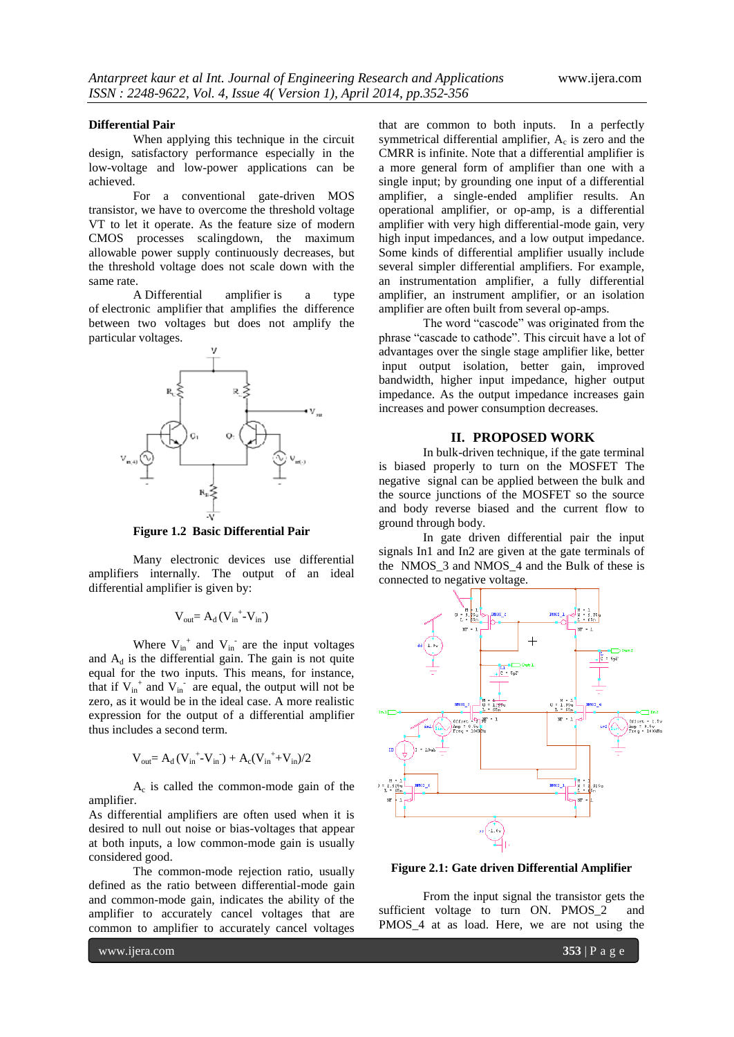#### **Differential Pair**

When applying this technique in the circuit design, satisfactory performance especially in the low-voltage and low-power applications can be achieved.

For a conventional gate-driven MOS transistor, we have to overcome the threshold voltage VT to let it operate. As the feature size of modern CMOS processes scalingdown, the maximum allowable power supply continuously decreases, but the threshold voltage does not scale down with the same rate.

A Differential amplifier is a type of electronic amplifier that amplifies the difference between two voltages but does not amplify the particular voltages.



**Figure 1.2 Basic Differential Pair**

Many electronic devices use differential amplifiers internally. The output of an ideal differential amplifier is given by:

$$
V_{out} = A_d \left(V_{in}^{+} \text{-} V_{in}^{-}\right)
$$

Where  $V_{in}^+$  and  $V_{in}^-$  are the input voltages and  $A_d$  is the differential gain. The gain is not quite equal for the two inputs. This means, for instance, that if  $V_{in}^+$  and  $V_{in}^-$  are equal, the output will not be zero, as it would be in the ideal case. A more realistic expression for the output of a differential amplifier thus includes a second term.

$$
V_{out} = A_d \, (V_{in}^{\;\;+} - V_{in}^{\;\;-}) + A_c (V_{in}^{\;\;+} + V_{in})/2
$$

Ac is called the common-mode gain of the amplifier.

As differential amplifiers are often used when it is desired to null out noise or bias-voltages that appear at both inputs, a low common-mode gain is usually considered good.

The common-mode rejection ratio, usually defined as the ratio between differential-mode gain and common-mode gain, indicates the ability of the amplifier to accurately cancel voltages that are common to amplifier to accurately cancel voltages

that are common to both inputs. In a perfectly symmetrical differential amplifier,  $A_c$  is zero and the CMRR is infinite. Note that a differential amplifier is a more general form of amplifier than one with a single input; by grounding one input of a differential amplifier, a single-ended amplifier results. An operational amplifier, or op-amp, is a differential amplifier with very high differential-mode gain, very high input impedances, and a low output impedance. Some kinds of differential amplifier usually include several simpler differential amplifiers. For example, an instrumentation amplifier, a fully differential amplifier, an instrument amplifier, or an isolation amplifier are often built from several op-amps.

The word "cascode" was originated from the phrase "cascade to cathode". This circuit have a lot of advantages over the single stage amplifier like, better input output isolation, better gain, improved bandwidth, higher input impedance, higher output impedance. As the output impedance increases gain increases and power consumption decreases.

## **II. PROPOSED WORK**

In bulk-driven technique, if the gate terminal is biased properly to turn on the MOSFET The negative signal can be applied between the bulk and the source junctions of the MOSFET so the source and body reverse biased and the current flow to ground through body.

In gate driven differential pair the input signals In1 and In2 are given at the gate terminals of the NMOS\_3 and NMOS\_4 and the Bulk of these is connected to negative voltage.



**Figure 2.1: Gate driven Differential Amplifier**

From the input signal the transistor gets the sufficient voltage to turn ON. PMOS<sub>2</sub> and PMOS\_4 at as load. Here, we are not using the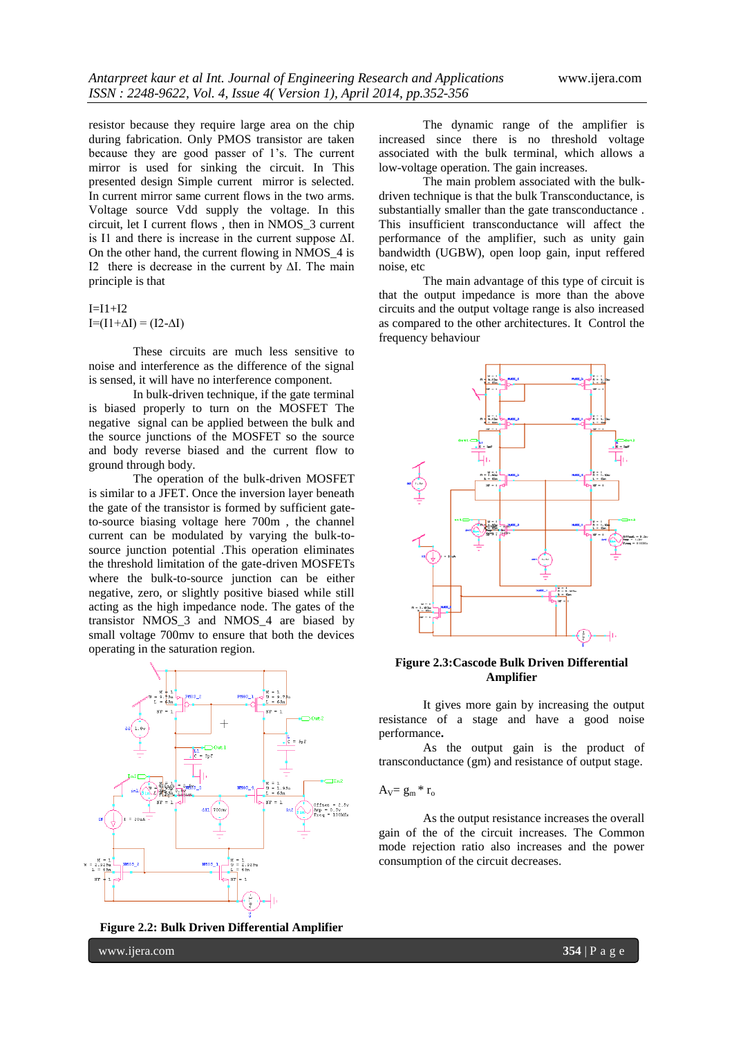resistor because they require large area on the chip during fabrication. Only PMOS transistor are taken because they are good passer of 1's. The current mirror is used for sinking the circuit. In This presented design Simple current mirror is selected. In current mirror same current flows in the two arms. Voltage source Vdd supply the voltage. In this circuit, let I current flows , then in NMOS\_3 current is I1 and there is increase in the current suppose ∆I. On the other hand, the current flowing in NMOS\_4 is I2 there is decrease in the current by ∆I. The main principle is that

 $I=I1+I2$  $I=(I1+\Delta I)=(I2-\Delta I)$ 

These circuits are much less sensitive to noise and interference as the difference of the signal is sensed, it will have no interference component.

In bulk-driven technique, if the gate terminal is biased properly to turn on the MOSFET The negative signal can be applied between the bulk and the source junctions of the MOSFET so the source and body reverse biased and the current flow to ground through body.

The operation of the bulk-driven MOSFET is similar to a JFET. Once the inversion layer beneath the gate of the transistor is formed by sufficient gateto-source biasing voltage here 700m , the channel current can be modulated by varying the bulk-tosource junction potential .This operation eliminates the threshold limitation of the gate-driven MOSFETs where the bulk-to-source junction can be either negative, zero, or slightly positive biased while still acting as the high impedance node. The gates of the transistor NMOS\_3 and NMOS\_4 are biased by small voltage 700mv to ensure that both the devices operating in the saturation region.



**Figure 2.2: Bulk Driven Differential Amplifier**

The dynamic range of the amplifier is increased since there is no threshold voltage associated with the bulk terminal, which allows a low-voltage operation. The gain increases.

The main problem associated with the bulkdriven technique is that the bulk Transconductance, is substantially smaller than the gate transconductance . This insufficient transconductance will affect the performance of the amplifier, such as unity gain bandwidth (UGBW), open loop gain, input reffered noise, etc

The main advantage of this type of circuit is that the output impedance is more than the above circuits and the output voltage range is also increased as compared to the other architectures. It Control the frequency behaviour



**Figure 2.3:Cascode Bulk Driven Differential Amplifier**

It gives more gain by increasing the output resistance of a stage and have a good noise performance**.** 

As the output gain is the product of transconductance (gm) and resistance of output stage.

$$
A_V\!\!=g_m\,{^*\,r_o}
$$

As the output resistance increases the overall gain of the of the circuit increases. The Common mode rejection ratio also increases and the power consumption of the circuit decreases.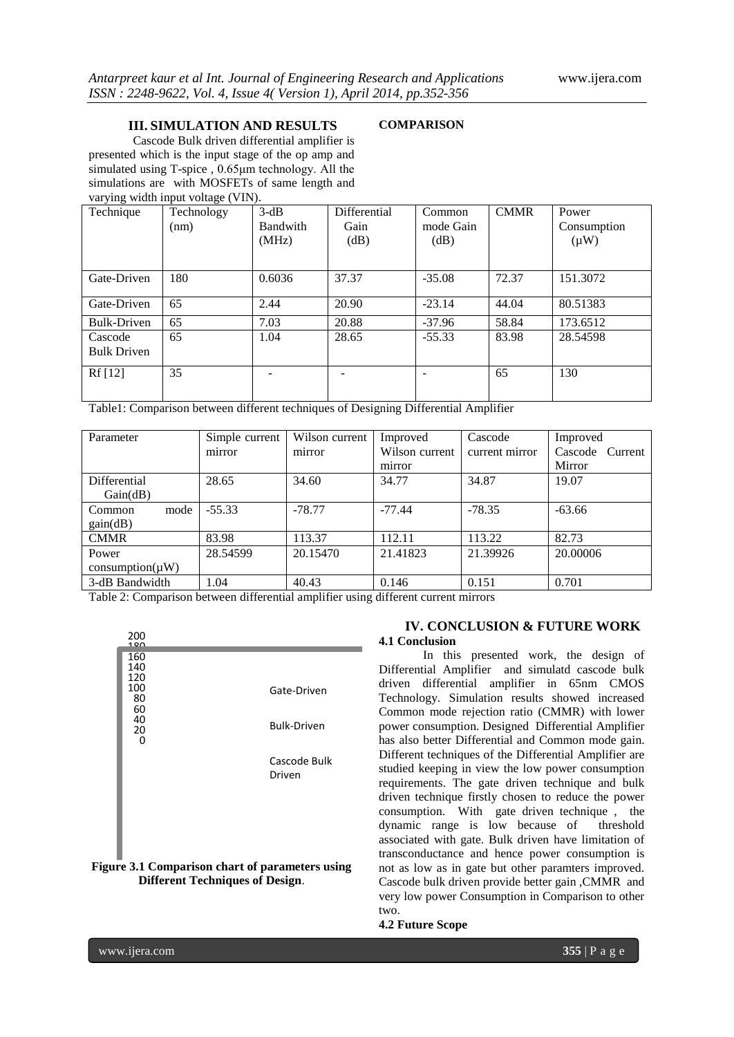#### **III. SIMULATION AND RESULTS**

## **COMPARISON**

Cascode Bulk driven differential amplifier is presented which is the input stage of the op amp and simulated using T-spice , 0.65<sub>um</sub> technology. All the simulations are with MOSFETs of same length and varying width input voltage (VIN).

| Technique          | Technology | $3-dB$          | Differential | Common    | <b>CMMR</b> | Power       |
|--------------------|------------|-----------------|--------------|-----------|-------------|-------------|
|                    | (nm)       | <b>Bandwith</b> | Gain         | mode Gain |             | Consumption |
|                    |            | (MHz)           | (dB)         | dB)       |             | $(\mu W)$   |
|                    |            |                 |              |           |             |             |
| Gate-Driven        | 180        | 0.6036          | 37.37        | $-35.08$  | 72.37       | 151.3072    |
| Gate-Driven        | 65         | 2.44            | 20.90        | $-23.14$  | 44.04       | 80.51383    |
| Bulk-Driven        | 65         | 7.03            | 20.88        | $-37.96$  | 58.84       | 173.6512    |
| Cascode            | 65         | 1.04            | 28.65        | $-55.33$  | 83.98       | 28.54598    |
| <b>Bulk Driven</b> |            |                 |              |           |             |             |
| Rf[12]             | 35         |                 |              |           | 65          | 130         |
|                    |            |                 |              |           |             |             |

Table1: Comparison between different techniques of Designing Differential Amplifier

| Simple current | Wilson current | Improved       | Cascode        | Improved        |
|----------------|----------------|----------------|----------------|-----------------|
| mirror         | mirror         | Wilson current | current mirror | Cascode Current |
|                |                | mirror         |                | Mirror          |
| 28.65          | 34.60          | 34.77          | 34.87          | 19.07           |
|                |                |                |                |                 |
| $-55.33$       | $-78.77$       | $-77.44$       | $-78.35$       | $-63.66$        |
|                |                |                |                |                 |
| 83.98          | 113.37         | 112.11         | 113.22         | 82.73           |
| 28.54599       | 20.15470       | 21.41823       | 21.39926       | 20,00006        |
|                |                |                |                |                 |
| 1.04           | 40.43          | 0.146          | 0.151          | 0.701           |
|                |                |                |                |                 |

Table 2: Comparison between differential amplifier using different current mirrors

| 200<br>100                                            |                                   |
|-------------------------------------------------------|-----------------------------------|
| 160<br>140<br>120<br>100<br>80<br>60<br>40<br>20<br>0 | Gate-Driven<br><b>Bulk-Driven</b> |
|                                                       | Cascode Bulk<br>Driven            |

#### **Figure 3.1 Comparison chart of parameters using Different Techniques of Design**.

## **IV. CONCLUSION & FUTURE WORK 4.1 Conclusion**

In this presented work, the design of Differential Amplifier and simulatd cascode bulk driven differential amplifier in 65nm CMOS Technology. Simulation results showed increased Common mode rejection ratio (CMMR) with lower power consumption. Designed Differential Amplifier has also better Differential and Common mode gain. Different techniques of the Differential Amplifier are studied keeping in view the low power consumption requirements. The gate driven technique and bulk driven technique firstly chosen to reduce the power consumption. With gate driven technique , the dynamic range is low because of threshold associated with gate. Bulk driven have limitation of transconductance and hence power consumption is not as low as in gate but other paramters improved. Cascode bulk driven provide better gain ,CMMR and very low power Consumption in Comparison to other two.

## **4.2 Future Scope**